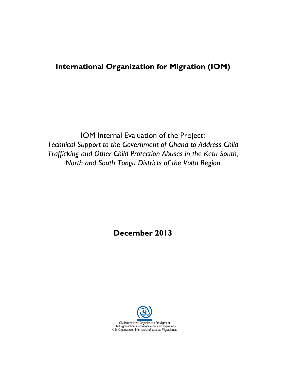# **International Organization for Migration (IOM)**

IOM Internal Evaluation of the Project: *Technical Support to the Government of Ghana to Address Child Trafficking and Other Child Protection Abuses in the Ketu South, North and South Tongu Districts of the Volta Region*

**December 2013** 

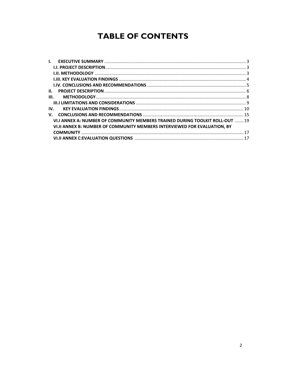# **TABLE OF CONTENTS**

| $\mathbf{L}$                                                                 |  |
|------------------------------------------------------------------------------|--|
|                                                                              |  |
|                                                                              |  |
|                                                                              |  |
|                                                                              |  |
| H.                                                                           |  |
| III.                                                                         |  |
|                                                                              |  |
| IV.                                                                          |  |
| V.                                                                           |  |
| VI.I ANNEX A: NUMBER OF COMMUNITY MEMBERS TRAINED DURING TOOLKIT ROLL-OUT 19 |  |
| VI.II ANNEX B: NUMBER OF COMMUNITY MEMBERS INTERVIEWED FOR EVALUATION. BY    |  |
|                                                                              |  |
|                                                                              |  |
|                                                                              |  |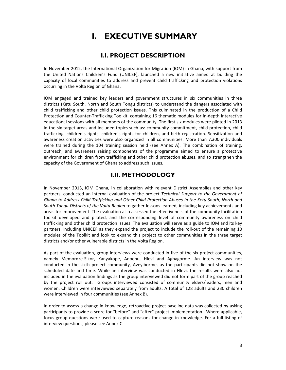# **I. EXECUTIVE SUMMARY**

## **I.I. PROJECT DESCRIPTION**

In November 2012, the International Organization for Migration (IOM) in Ghana, with support from the United Nations Children's Fund (UNICEF), launched a new initiative aimed at building the capacity of local communities to address and prevent child trafficking and protection violations occurring in the Volta Region of Ghana.

IOM engaged and trained key leaders and government structures in six communities in three districts (Ketu South, North and South Tongu districts) to understand the dangers associated with child trafficking and other child protection issues. This culminated in the production of a Child Protection and Counter‐Trafficking Toolkit, containing 16 thematic modules for in‐depth interactive educational sessions with all members of the community. The first six modules were piloted in 2013 in the six target areas and included topics such as: community commitment, child protection, child trafficking, children's rights, children's rights for children, and birth registration. Sensitization and awareness creation activities were also organized in all communities. More than 7,300 individuals were trained during the 104 training session held (see Annex A). The combination of training, outreach, and awareness raising components of the programme aimed to ensure a protective environment for children from trafficking and other child protection abuses, and to strengthen the capacity of the Government of Ghana to address such issues.

## **I.II. METHODOLOGY**

In November 2013, IOM Ghana, in collaboration with relevant District Assemblies and other key partners, conducted an internal evaluation of the project *Technical Support to the Government of Ghana to Address Child Trafficking and Other Child Protection Abuses in the Ketu South, North and South Tongu Districts of the Volta Region* to gather lessons learned, including key achievements and areas for improvement. The evaluation also assessed the effectiveness of the community facilitation toolkit developed and piloted, and the corresponding level of community awareness on child trafficking and other child protection issues. The evaluation will serve as a guide to IOM and its key partners, including UNICEF as they expand the project to include the roll-out of the remaining 10 modules of the Toolkit and look to expand this project to other communities in the three target districts and/or other vulnerable districts in the Volta Region.

As part of the evaluation, group interviews were conducted in five of the six project communities, namely Memordze‐Sikor, Kanyakope, Anoenu, Hlevi and Agbagorme. An interview was not conducted in the sixth project community, Aveyiborme, as the participants did not show on the scheduled date and time. While an interview was conducted in Hlevi, the results were also not included in the evaluation findings as the group interviewed did not form part of the group reached by the project roll out. Groups interviewed consisted of community elders/leaders, men and women. Children were interviewed separately from adults. A total of 128 adults and 230 children were interviewed in four communities (see Annex B).

In order to assess a change in knowledge, retroactive project baseline data was collected by asking participants to provide a score for "before" and "after" project implementation. Where applicable, focus group questions were used to capture reasons for change in knowledge. For a full listing of interview questions, please see Annex C.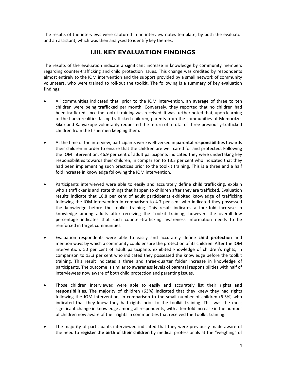The results of the interviews were captured in an interview notes template, by both the evaluator and an assistant, which was then analysed to identify key themes.

## **I.III. KEY EVALUATION FINDINGS**

The results of the evaluation indicate a significant increase in knowledge by community members regarding counter‐trafficking and child protection issues. This change was credited by respondents almost entirely to the IOM intervention and the support provided by a small network of community volunteers, who were trained to roll‐out the toolkit. The following is a summary of key evaluation findings:

- All communities indicated that, prior to the IOM intervention, an average of three to ten children were being **trafficked** per month. Conversely, they reported that no children had been trafficked since the toolkit training was received. It was further noted that, upon learning of the harsh realities facing trafficked children, parents from the communities of Memordze‐ Sikor and Kanyakope voluntarily requested the return of a total of three previously‐trafficked children from the fishermen keeping them.
- At the time of the interview, participants were well‐versed in **parental responsibilities** towards their children in order to ensure that the children are well cared for and protected. Following the IOM intervention, 46.9 per cent of adult participants indicated they were undertaking key responsibilities towards their children, in comparison to 13.3 per cent who indicated that they had been implementing such practices prior to the toolkit training. This is a three and a half fold increase in knowledge following the IOM intervention.
- Participants interviewed were able to easily and accurately define **child trafficking**, explain who a trafficker is and state things that happen to children after they are trafficked. Evaluation results indicate that 18.8 per cent of adult participants exhibited knowledge of trafficking following the IOM intervention in comparison to 4.7 per cent who indicated they possessed the knowledge before the toolkit training. This result indicates a four‐fold increase in knowledge among adults after receiving the Toolkit training; however, the overall low percentage indicates that such counter‐trafficking awareness information needs to be reinforced in target communities.
- Evaluation respondents were able to easily and accurately define **child protection** and mention ways by which a community could ensure the protection of its children. After the IOM intervention, 50 per cent of adult participants exhibited knowledge of children's rights, in comparison to 13.3 per cent who indicated they possessed the knowledge before the toolkit training. This result indicates a three and three‐quarter folder increase in knowledge of participants. The outcome is similar to awareness levels of parental responsibilities with half of interviewees now aware of both child protection and parenting issues.
- Those children interviewed were able to easily and accurately list their **rights and responsibilities**. The majority of children (63%) indicated that they knew they had rights following the IOM intervention, in comparison to the small number of children (6.5%) who indicated that they knew they had rights prior to the toolkit training. This was the most significant change in knowledge among all respondents, with a ten-fold increase in the number of children now aware of their rights in communities that received the Toolkit training.
- The majority of participants interviewed indicated that they were previously made aware of the need to **register the birth of their children** by medical professionals at the "weighing" of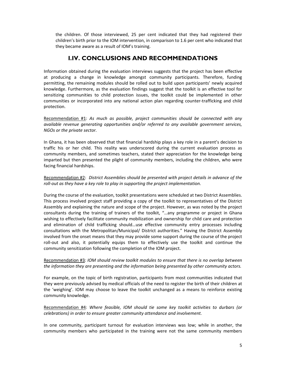the children. Of those interviewed, 25 per cent indicated that they had registered their children's birth prior to the IOM intervention, in comparison to 1.6 per cent who indicated that they became aware as a result of IOM's training.

## **I.IV. CONCLUSIONS AND RECOMMENDATIONS**

Information obtained during the evaluation interviews suggests that the project has been effective at producing a change in knowledge amongst community participants. Therefore, funding permitting, the remaining modules should be rolled out to build upon participants' newly acquired knowledge. Furthermore, as the evaluation findings suggest that the toolkit is an effective tool for sensitizing communities to child protection issues, the toolkit could be implemented in other communities or incorporated into any national action plan regarding counter‐trafficking and child protection.

Recommendation #1: *As much as possible, project communities should be connected with any available revenue generating opportunities and/or referred to any available government services, NGOs or the private sector.* 

In Ghana, it has been observed that that financial hardship plays a key role in a parent's decision to traffic his or her child. This reality was underscored during the current evaluation process as community members, and sometimes teachers, stated their appreciation for the knowledge being imparted but then presented the plight of community members, including the children, who were facing financial hardships.

### Recommendation #2: *District Assemblies should be presented with project details in advance of the roll‐out as they have a key role to play in supporting the project implementation.*

During the course of the evaluation, toolkit presentations were scheduled at two District Assemblies. This process involved project staff providing a copy of the toolkit to representatives of the District Assembly and explaining the nature and scope of the project. However, as was noted by the project consultants during the training of trainers of the toolkit, "…any programme or project in Ghana wishing to effectively facilitate community mobilization and ownership for child care and protection and elimination of child trafficking should…use effective community entry processes including consultations with the Metropolitan/Municipal/ District authorities." Having the District Assembly involved from the onset means that they may provide some support during the course of the project roll-out and also, it potentially equips them to effectively use the toolkit and continue the community sensitization following the completion of the IOM project.

## Recommendation #3*: IOM should review toolkit modules to ensure that there is no overlap between the information they are presenting and the information being presented by other community actors.*

For example, on the topic of birth registration, participants from most communities indicated that they were previously advised by medical officials of the need to register the birth of their children at the 'weighing'. IOM may choose to leave the toolkit unchanged as a means to reinforce existing community knowledge.

Recommendation #4: *Where feasible, IOM should tie some key toolkit activities to durbars (or celebrations) in order to ensure greater community attendance and involvement.*

In one community, participant turnout for evaluation interviews was low; while in another, the community members who participated in the training were not the same community members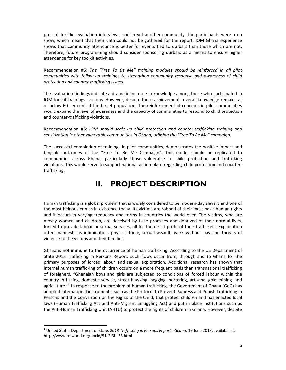present for the evaluation interviews; and in yet another community, the participants were a no show, which meant that their data could not be gathered for the report. IOM Ghana experience shows that community attendance is better for events tied to durbars than those which are not. Therefore, future programming should consider sponsoring durbars as a means to ensure higher attendance for key toolkit activities.

Recommendation #5: *The "Free To Be Me" training modules should be reinforced in all pilot communities with follow‐up trainings to strengthen community response and awareness of child protection and counter‐trafficking issues.*

The evaluation findings indicate a dramatic increase in knowledge among those who participated in IOM toolkit trainings sessions. However, despite these achievements overall knowledge remains at or below 60 per cent of the target population. The reinforcement of concepts in pilot communities would expand the level of awareness and the capacity of communities to respond to child protection and counter‐trafficking violations.

Recommendation #6: *IOM should scale up child protection and counter‐trafficking training and sensitization in other vulnerable communities in Ghana, utilising the "Free To Be Me" campaign.*

The successful completion of trainings in pilot communities, demonstrates the positive impact and tangible outcomes of the "Free To Be Me Campaign". This model should be replicated to communities across Ghana, particularly those vulnerable to child protection and trafficking violations. This would serve to support national action plans regarding child protection and counter‐ trafficking.

# **II. PROJECT DESCRIPTION**

Human trafficking is a global problem that is widely considered to be modern‐day slavery and one of the most heinous crimes in existence today. Its victims are robbed of their most basic human rights and it occurs in varying frequency and forms in countries the world over. The victims, who are mostly women and children, are deceived by false promises and deprived of their normal lives, forced to provide labour or sexual services, all for the direct profit of their traffickers. Exploitation often manifests as intimidation, physical force, sexual assault, work without pay and threats of violence to the victims and their families.

Ghana is not immune to the occurrence of human trafficking. According to the US Department of State 2013 Trafficking in Persons Report, such flows occur from, through and to Ghana for the primary purposes of forced labour and sexual exploitation. Additional research has shown that internal human trafficking of children occurs on a more frequent basis than transnational trafficking of foreigners. "Ghanaian boys and girls are subjected to conditions of forced labour within the country in fishing, domestic service, street hawking, begging, portering, artisanal gold mining, and agriculture."<sup>1</sup> In response to the problem of human trafficking, the Government of Ghana (GoG) has adopted international instruments, such as the Protocol to Prevent, Supress and Punish Trafficking in Persons and the Convention on the Rights of the Child, that protect children and has enacted local laws (Human Trafficking Act and Anti‐Migrant Smuggling Act) and put in place institutions such as the Anti‐Human Trafficking Unit (AHTU) to protect the rights of children in Ghana. However, despite

<sup>1</sup> United States Department of State, *2013 Trafficking in Persons Report ‐ Ghana*, 19 June 2013, available at: http://www.refworld.org/docid/51c2f3bc53.html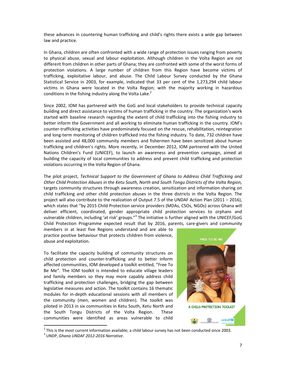these advances in countering human trafficking and child's rights there exists a wide gap between law and practice.

In Ghana, children are often confronted with a wide range of protection issues ranging from poverty to physical abuse, sexual and labour exploitation. Although children in the Volta Region are not different from children in other parts of Ghana; they are confronted with some of the worst forms of protection violations. A large number of children from this Region have become victims of trafficking, exploitative labour, and abuse. The Child Labour Survey conducted by the Ghana Statistical Service in 2003, for example, indicated that 33 per cent of the 1,273,294 child labour victims in Ghana were located in the Volta Region; with the majority working in hazardous conditions in the fishing industry along the Volta Lake. $2$ 

Since 2002, IOM has partnered with the GoG and local stakeholders to provide technical capacity building and direct assistance to victims of human trafficking in the country. The organization's work started with baseline research regarding the extent of child trafficking into the fishing industry to better inform the Government and all working to eliminate human trafficking in the country. IOM's counter‐trafficking activities have predominately focused on the rescue, rehabilitation, reintegration and long‐term monitoring of children trafficked into the fishing industry. To date, 732 children have been assisted and 48,000 community members and fishermen have been sensitized about human trafficking and children's rights. More recently, in December 2012, IOM partnered with the United Nations Children's Fund (UNICEF), to launch an awareness and prevention campaign, aimed at building the capacity of local communities to address and prevent child trafficking and protection violations occurring in the Volta Region of Ghana.

The pilot project, *Technical Support to the Government of Ghana to Address Child Trafficking and Other Child Protection Abuses in the Ketu South, North and South Tongu Districts of the Volta Region,* targets community structures through awareness creation, sensitization and information sharing on child trafficking and other child protection abuses in the three districts in the Volta Region. The project will also contribute to the realization of Output 7.5 of the UNDAF Action Plan (2011 – 2016), which states that "by 2015 Child Protection service providers (MDAs, CSOs, NGOs) across Ghana will deliver efficient, coordinated, gender appropriate child protection services to orphans and vulnerable children, including 'at risk' groups."<sup>3</sup> The initiative is further aligned with the UNICEF/GoG Child Protection Programme expected result that by 2016, parents, care-givers and community

members in at least five Regions understand and are able to practice positive behaviour that protects children from violence, abuse and exploitation.

To facilitate the capacity building of community structures on child protection and counter‐trafficking and to better inform affected communities, IOM developed a toolkit entitled, "Free To Be Me". The IOM toolkit is intended to educate village leaders and family members so they may more capably address child trafficking and protection challenges, bridging the gap between legislative measures and action. The toolkit contains 16 thematic modules for in‐depth educational sessions with all members of the community (men, women and children). The toolkit was piloted in 2013 in six communities in Ketu South, Ketu North and the South Tongu Districts of the Volta Region. These communities were identified as areas vulnerable to child



<sup>&</sup>lt;sup>2</sup> This is the most current information available; a child labour survey has not been conducted since 2003.<br><sup>3</sup> UNDP, *Ghana UNDAF 2012-2016 Narrative*.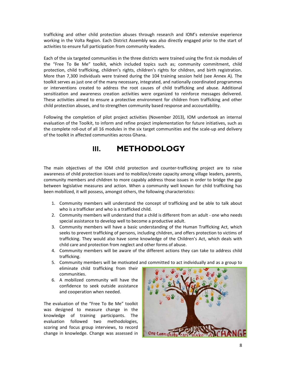trafficking and other child protection abuses through research and IOM's extensive experience working in the Volta Region. Each District Assembly was also directly engaged prior to the start of activities to ensure full participation from community leaders.

Each of the six targeted communities in the three districts were trained using the first six modules of the "Free To Be Me" toolkit, which included topics such as; community commitment, child protection, child trafficking, children's rights, children's rights for children, and birth registration. More than 7,300 individuals were trained during the 104 training session held (see Annex A). The toolkit serves as just one of the many necessary, integrated, and nationally coordinated programmes or interventions created to address the root causes of child trafficking and abuse. Additional sensitization and awareness creation activities were organized to reinforce messages delivered. These activities aimed to ensure a protective environment for children from trafficking and other child protection abuses, and to strengthen community based response and accountability.

Following the completion of pilot project activities (November 2013), IOM undertook an internal evaluation of the Toolkit, to inform and refine project implementation for future initiatives, such as the complete roll‐out of all 16 modules in the six target communities and the scale‐up and delivery of the toolkit in affected communities across Ghana.

# **III. METHODOLOGY**

The main objectives of the IOM child protection and counter-trafficking project are to raise awareness of child protection issues and to mobilize/create capacity among village leaders, parents, community members and children to more capably address those issues in order to bridge the gap between legislative measures and action. When a community well known for child trafficking has been mobilized, it will possess, amongst others, the following characteristics:

- 1. Community members will understand the concept of trafficking and be able to talk about who is a trafficker and who is a trafficked child.
- 2. Community members will understand that a child is different from an adult one who needs special assistance to develop well to become a productive adult.
- 3. Community members will have a basic understanding of the Human Trafficking Act, which seeks to prevent trafficking of persons, including children, and offers protection to victims of trafficking. They would also have some knowledge of the Children's Act, which deals with child care and protection from neglect and other forms of abuse.
- 4. Community members will be aware of the different actions they can take to address child trafficking.
- 5. Community members will be motivated and committed to act individually and as a group to eliminate child trafficking from their communities.
- 6. A mobilized community will have the confidence to seek outside assistance and cooperation when needed.

The evaluation of the "Free To Be Me" toolkit was designed to measure change in the knowledge of training participants. The evaluation followed two methodologies, scoring and focus group interviews, to record change in knowledge. Change was assessed in

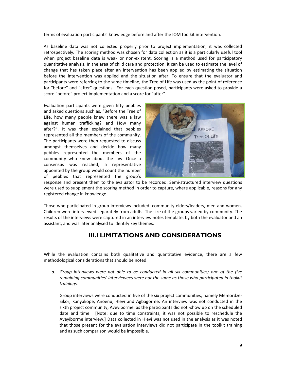terms of evaluation participants' knowledge before and after the IOM toolkit intervention.

As baseline data was not collected properly prior to project implementation, it was collected retrospectively. The scoring method was chosen for data collection as it is a particularly useful tool when project baseline data is weak or non-existent. Scoring is a method used for participatory quantitative analysis. In the area of child care and protection, it can be used to estimate the level of change that has taken place after an intervention has been applied by estimating the situation before the intervention was applied and the situation after. To ensure that the evaluator and participants were referring to the same timeline, the Tree of Life was used as the point of reference for "before" and "after" questions. For each question posed, participants were asked to provide a score "before" project implementation and a score for "after".

Evaluation participants were given fifty pebbles and asked questions such as, "Before the Tree of Life, how many people knew there was a law against human trafficking? and How many after?". It was then explained that pebbles represented all the members of the community. The participants were then requested to discuss amongst themselves and decide how many pebbles represented the members of the community who knew about the law. Once a consensus was reached, a representative appointed by the group would count the number of pebbles that represented the group's



response and present them to the evaluator to be recorded. Semi-structured interview questions were used to supplement the scoring method in order to capture, where applicable, reasons for any registered change in knowledge.

Those who participated in group interviews included: community elders/leaders, men and women. Children were interviewed separately from adults. The size of the groups varied by community. The results of the interviews were captured in an interview notes template, by both the evaluator and an assistant, and was later analysed to identify key themes.

## **III.I LIMITATIONS AND CONSIDERATIONS**

While the evaluation contains both qualitative and quantitative evidence, there are a few methodological considerations that should be noted.

*a. Group interviews were not able to be conducted in all six communities; one of the five remaining communities' interviewees were not the same as those who participated in toolkit trainings.*

Group interviews were conducted in five of the six project communities, namely Memordze‐ Sikor, Kanyakope, Anoenu, Hlevi and Agbagorme. An interview was not conducted in the sixth project community, Aveyiborme, as the participants did not ‐show up on the scheduled date and time. [Note: due to time constraints, it was not possible to reschedule the Aveyiborme interview.] Data collected in Hlevi was not used in the analysis as it was noted that those present for the evaluation interviews did not participate in the toolkit training and as such comparison would be impossible.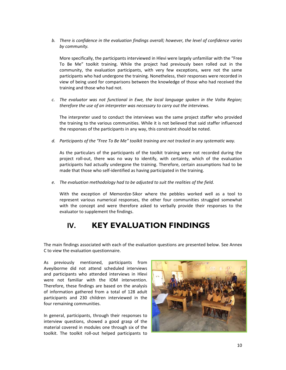*b. There is confidence in the evaluation findings overall; however, the level of confidence varies by community.* 

More specifically, the participants interviewed in Hlevi were largely unfamiliar with the "Free To Be Me" toolkit training. While the project had previously been rolled out in the community, the evaluation participants, with very few exceptions, were not the same participants who had undergone the training. Nonetheless, their responses were recorded in view of being used for comparisons between the knowledge of those who had received the training and those who had not.

*c. The evaluator was not functional in Ewe, the local language spoken in the Volta Region; therefore the use of an interpreter was necessary to carry out the interviews.*

The interpreter used to conduct the interviews was the same project staffer who provided the training to the various communities. While it is not believed that said staffer influenced the responses of the participants in any way, this constraint should be noted.

*d. Participants of the "Free To Be Me" toolkit training are not tracked in any systematic way.*

As the particulars of the participants of the toolkit training were not recorded during the project roll-out, there was no way to identify, with certainty, which of the evaluation participants had actually undergone the training. Therefore, certain assumptions had to be made that those who self-identified as having participated in the training.

*e. The evaluation methodology had to be adjusted to suit the realities of the field.*

With the exception of Memordze‐Sikor where the pebbles worked well as a tool to represent various numerical responses, the other four communities struggled somewhat with the concept and were therefore asked to verbally provide their responses to the evaluator to supplement the findings.

# **IV. KEY EVALUATION FINDINGS**

The main findings associated with each of the evaluation questions are presented below. See Annex C to view the evaluation questionnaire.

As previously mentioned, participants from Aveyiborme did not attend scheduled interviews and participants who attended interviews in Hlevi were not familiar with the IOM intervention. Therefore, these findings are based on the analysis of information gathered from a total of 128 adult participants and 230 children interviewed in the four remaining communities.

In general, participants, through their responses to interview questions, showed a good grasp of the material covered in modules one through six of the toolkit. The toolkit roll‐out helped participants to

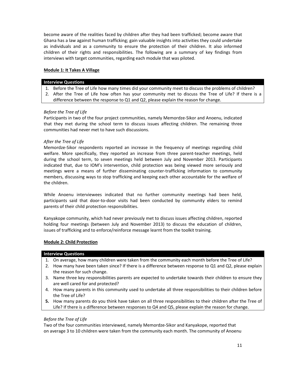become aware of the realities faced by children after they had been trafficked; become aware that Ghana has a law against human trafficking; gain valuable insights into activities they could undertake as individuals and as a community to ensure the protection of their children. It also informed children of their rights and responsibilities. The following are a summary of key findings from interviews with target communities, regarding each module that was piloted.

#### **Module 1: It Takes A Village**

#### **Interview Questions**

- 1. Before the Tree of Life how many times did your community meet to discuss the problems of children?
- 2. After the Tree of Life how often has your community met to discuss the Tree of Life? If there is a difference between the response to Q1 and Q2, please explain the reason for change.

### *Before the Tree of Life*

Participants in two of the four project communities, namely Memordze‐Sikor and Anoenu, indicated that they met during the school term to discuss issues affecting children. The remaining three communities had never met to have such discussions.

### *After the Tree of Life*

Memordze‐Sikor respondents reported an increase in the frequency of meetings regarding child welfare. More specifically, they reported an increase from three parent-teacher meetings, held during the school term, to seven meetings held between July and November 2013. Participants indicated that, due to IOM's intervention, child protection was being viewed more seriously and meetings were a means of further disseminating counter‐trafficking information to community members, discussing ways to stop trafficking and keeping each other accountable for the welfare of the children.

While Anoenu interviewees indicated that no further community meetings had been held, participants said that door‐to‐door visits had been conducted by community elders to remind parents of their child protection responsibilities.

Kanyakope community, which had never previously met to discuss issues affecting children, reported holding four meetings (between July and November 2013) to discuss the education of children, issues of trafficking and to enforce/reinforce message learnt from the toolkit training.

#### **Module 2: Child Protection**

#### **Interview Questions**

- 1. On average, how many children were taken from the community each month before the Tree of Life?
- 2. How many have been taken since? If there is a difference between response to Q1 and Q2, please explain the reason for such change.
- 3. Name three key responsibilities parents are expected to undertake towards their children to ensure they are well cared for and protected?
- 4. How many parents in this community used to undertake all three responsibilities to their children before the Tree of Life?
- **5.** How many parents do you think have taken on all three responsibilities to their children after the Tree of Life? If there is a difference between responses to Q4 and Q5, please explain the reason for change.

#### *Before the Tree of Life*

Two of the four communities interviewed, namely Memordze‐Sikor and Kanyakope, reported that on average 3 to 10 children were taken from the community each month. The community of Anoenu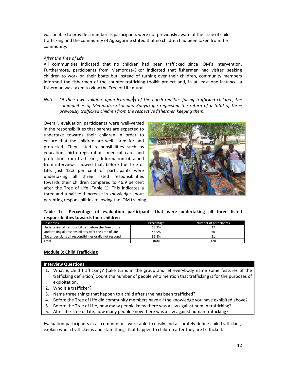was unable to provide a number as participants were not previously aware of the issue of child trafficking and the community of Agbagorme stated that no children had been taken from the community.

#### *After the Tree of Life*

All communities indicated that no children had been trafficked since IOM's intervention. Furthermore, participants from Memordze‐Sikor indicated that fishermen had visited seeking children to work on their boats but instead of turning over their children, community members informed the fishermen of the counter-trafficking toolkit project and, in at least one instance, a fisherman was taken to view the Tree of Life mural.

*Note: Of their own volition, upon learning g of the harsh realities facing trafficked children, the communities of Memordze‐Sikor and Kanyakope requested the return of a total of three previously trafficked children from the respective fishermen keeping them.*

Overall, evaluation participants were well‐versed in the responsibilities that parents are expected to undertake towards their children in order to ensure that the children are well cared for and protected. They listed responsibilities such as education, birth registration, medical care and protection from trafficking. Information obtained from interviews showed that, before the Tree of Life, just 13.3 per cent of participants were undertaking all three listed responsibilities towards their children compared to 46.9 percent after the Tree of Life (Table 1). This indicates a three and a half fold increase in knowledge about parenting responsibilities following the IOM training.



**Table 1: Percentage of evaluation participants that were undertaking all three listed responsibilities towards their children**

| Percentage | Number of participants |
|------------|------------------------|
| 13.3%      |                        |
| 46.9%      | 60                     |
| 39.8%      |                        |
| 100%       | 128                    |
|            |                        |

## **Module 3: Child Trafficking**

#### **Interview Questions**

- 1. What is child trafficking? (take turns in the group and let everybody name some features of the trafficking definition) Count the number of people who mention that trafficking is for the purposes of exploitation.
- 2. Who is a trafficker?
- 3. Name three things that happen to a child after s/he has been trafficked?
- 4. Before the Tree of Life did community members have all the knowledge you have exhibited above?
- 5. Before the Tree of Life, how many people knew there was a law against human trafficking?
- 6. After the Tree of Life, how many people know there was a law against human trafficking?

Evaluation participants in all communities were able to easily and accurately define child trafficking, explain who a trafficker is and state things that happen to children after they are trafficked.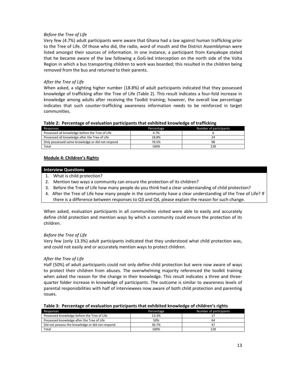### *Before the Tree of Life*

Very few (4.7%) adult participants were aware that Ghana had a law against human trafficking prior to the Tree of Life. Of those who did, the radio, word of mouth and the District Assemblyman were listed amongst their sources of information. In one instance, a participant from Kanyakope stated that he became aware of the law following a GoG-led interception on the north side of the Volta Region in which a bus transporting children to work was boarded; this resulted in the children being removed from the bus and returned to their parents.

### *After the Tree of Life*

When asked, a slighting higher number (18.8%) of adult participants indicated that they possessed knowledge of trafficking after the Tree of Life (Table 2). This result indicates a four‐fold increase in knowledge among adults after receiving the Toolkit training; however, the overall low percentage indicates that such counter-trafficking awareness information needs to be reinforced in target communities.

#### **Table 2: Percentage of evaluation participants that exhibited knowledge of trafficking**

| Responses                                        | Percentage | Number of participants |
|--------------------------------------------------|------------|------------------------|
| Possessed all knowledge before the Tree of Life  | 4.7%       |                        |
| Possessed all knowledge after the Tree of Life   | 18.8%      |                        |
| Only possessed some knowledge or did not respond | 76.5%      | 98                     |
| Total                                            | 100%       | 128                    |

#### **Module 4: Children's Rights**

#### **Interview Questions**

- 1. What is child protection?
- 2. Mention two ways a community can ensure the protection of its children?
- 3. Before the Tree of Life how many people do you think had a clear understanding of child protection?
- 4. After the Tree of Life how many people in the community have a clear understanding of the Tree of Life? If there is a difference between responses to Q3 and Q4, please explain the reason for such change.

When asked, evaluation participants in all communities visited were able to easily and accurately define child protection and mention ways by which a community could ensure the protection of its children.

#### *Before the Tree of Life*

Very few (only 13.3%) adult participants indicated that they understood what child protection was, and could not easily and or accurately mention ways to protect children.

#### *After the Tree of Life*

Half (50%) of adult participants could not only define child protection but were now aware of ways to protect their children from abuses. The overwhelming majority referenced the toolkit training when asked the reason for the change in their knowledge. This result indicates a three and threequarter folder increase in knowledge of participants. The outcome is similar to awareness levels of parental responsibilities with half of interviewees now aware of both child protection and parenting issues.

|  |  |  |  |  |  | Table 3: Percentage of evaluation participants that exhibited knowledge of children's rights |
|--|--|--|--|--|--|----------------------------------------------------------------------------------------------|
|--|--|--|--|--|--|----------------------------------------------------------------------------------------------|

| Responses                                        | Percentage | Number of participants |
|--------------------------------------------------|------------|------------------------|
| Possessed knowledge before the Tree of Life      | 13.3%      |                        |
| Possessed knowledge after the Tree of Life       | 50%        | 64                     |
| Did not possess the knowledge or did not respond | 36.7%      |                        |
| Total                                            | 100%       | 128                    |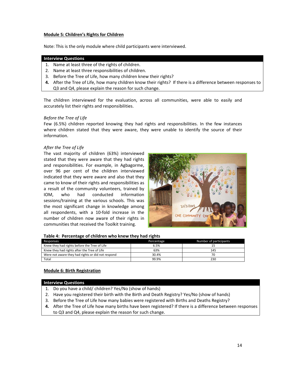#### **Module 5: Children's Rights for Children**

Note: This is the only module where child participants were interviewed.

#### **Interview Questions**

- 1. Name at least three of the rights of children.
- 2. Name at least three responsibilities of children.
- 3. Before the Tree of Life, how many children knew their rights?
- **4.** After the Tree of Life, how many children know their rights? If there is a difference between responses to Q3 and Q4, please explain the reason for such change.

The children interviewed for the evaluation, across all communities, were able to easily and accurately list their rights and responsibilities.

#### *Before the Tree of Life*

Few (6.5%) children reported knowing they had rights and responsibilities. In the few instances where children stated that they were aware, they were unable to identify the source of their information.

#### *After the Tree of Life*

The vast majority of children (63%) interviewed stated that they were aware that they had rights and responsibilities. For example, in Agbagorme, over 96 per cent of the children interviewed indicated that they were aware and also that they came to know of their rights and responsibilities as a result of the community volunteers, trained by IOM, who had conducted information sessions/training at the various schools. This was the most significant change in knowledge among all respondents, with a 10‐fold increase in the number of children now aware of their rights in communities that received the Toolkit training.



|  | Table 4: Percentage of children who knew they had rights |  |  |  |  |
|--|----------------------------------------------------------|--|--|--|--|
|--|----------------------------------------------------------|--|--|--|--|

| Responses                                         | Percentage | Number of participants |
|---------------------------------------------------|------------|------------------------|
| Knew they had rights before the Tree of Life      | 6.5%       |                        |
| Knew they had rights after the Tree of Life       | 63%        | 145                    |
| Were not aware they had rights or did not respond | 30.4%      | 70                     |
| Total                                             | 99.9%      | 230                    |

#### **Module 6: Birth Registration**

**Interview Questions**

- 1. Do you have a child/ children? Yes/No (show of hands)
- 2. Have you registered their birth with the Birth and Death Registry? Yes/No (show of hands)
- 3. Before the Tree of Life how many babies were registered with Births and Deaths Registry?
- **4.** After the Tree of Life how many births have been registered? If there is a difference between responses to Q3 and Q4, please explain the reason for such change.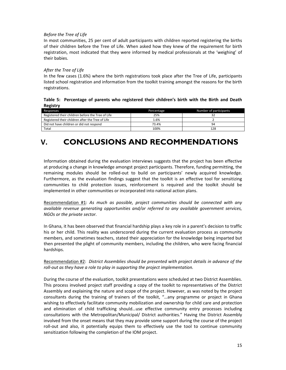## *Before the Tree of Life*

In most communities, 25 per cent of adult participants with children reported registering the births of their children before the Tree of Life. When asked how they knew of the requirement for birth registration, most indicated that they were informed by medical professionals at the 'weighing' of their babies.

### *After the Tree of Life*

In the few cases (1.6%) where the birth registrations took place after the Tree of Life, participants listed school registration and information from the toolkit training amongst the reasons for the birth registrations.

### **Table 5: Percentage of parents who registered their children's birth with the Birth and Death Registry**

| Responses                                         | Percentage | Number of participants |
|---------------------------------------------------|------------|------------------------|
| Registered their children before the Tree of Life | 25%        |                        |
| Registered their children after the Tree of Life  | 1.6%       |                        |
| Did not have children or did not respond          | 73.4%      | 94                     |
| Total                                             | 100%       | 128                    |

# **V. CONCLUSIONS AND RECOMMENDATIONS**

Information obtained during the evaluation interviews suggests that the project has been effective at producing a change in knowledge amongst project participants. Therefore, funding permitting, the remaining modules should be rolled‐out to build on participants' newly acquired knowledge. Furthermore, as the evaluation findings suggest that the toolkit is an effective tool for sensitizing communities to child protection issues, reinforcement is required and the toolkit should be implemented in other communities or incorporated into national action plans.

Recommendation #1: *As much as possible, project communities should be connected with any available revenue generating opportunities and/or referred to any available government services, NGOs or the private sector.* 

In Ghana, it has been observed that financial hardship plays a key role in a parent's decision to traffic his or her child. This reality was underscored during the current evaluation process as community members, and sometimes teachers, stated their appreciation for the knowledge being imparted but then presented the plight of community members, including the children, who were facing financial hardships.

## Recommendation #2: *District Assemblies should be presented with project details in advance of the roll‐out as they have a role to play in supporting the project implementation.*

During the course of the evaluation, toolkit presentations were scheduled at two District Assemblies. This process involved project staff providing a copy of the toolkit to representatives of the District Assembly and explaining the nature and scope of the project. However, as was noted by the project consultants during the training of trainers of the toolkit, "…any programme or project in Ghana wishing to effectively facilitate community mobilization and ownership for child care and protection and elimination of child trafficking should…use effective community entry processes including consultations with the Metropolitan/Municipal/ District authorities." Having the District Assembly involved from the onset means that they may provide some support during the course of the project roll-out and also, it potentially equips them to effectively use the tool to continue community sensitization following the completion of the IOM project.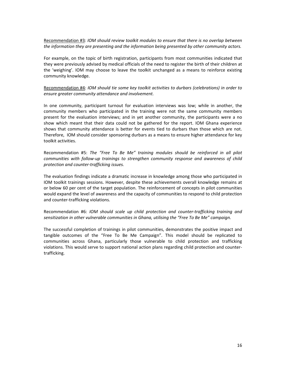Recommendation #3*: IOM should review toolkit modules to ensure that there is no overlap between the information they are presenting and the information being presented by other community actors.*

For example, on the topic of birth registration, participants from most communities indicated that they were previously advised by medical officials of the need to register the birth of their children at the 'weighing'. IOM may choose to leave the toolkit unchanged as a means to reinforce existing community knowledge.

Recommendation #4: *IOM should tie some key toolkit activities to durbars (celebrations) in order to ensure greater community attendance and involvement.*

In one community, participant turnout for evaluation interviews was low; while in another, the community members who participated in the training were not the same community members present for the evaluation interviews; and in yet another community, the participants were a no show which meant that their data could not be gathered for the report. IOM Ghana experience shows that community attendance is better for events tied to durbars than those which are not. Therefore, IOM should consider sponsoring durbars as a means to ensure higher attendance for key toolkit activities.

Recommendation #5: *The "Free To Be Me" training modules should be reinforced in all pilot communities with follow‐up trainings to strengthen community response and awareness of child protection and counter‐trafficking issues.*

The evaluation findings indicate a dramatic increase in knowledge among those who participated in IOM toolkit trainings sessions. However, despite these achievements overall knowledge remains at or below 60 per cent of the target population. The reinforcement of concepts in pilot communities would expand the level of awareness and the capacity of communities to respond to child protection and counter‐trafficking violations.

Recommendation #6: *IOM should scale up child protection and counter‐trafficking training and sensitization in other vulnerable communities in Ghana, utilising the "Free To Be Me" campaign.*

The successful completion of trainings in pilot communities, demonstrates the positive impact and tangible outcomes of the "Free To Be Me Campaign". This model should be replicated to communities across Ghana, particularly those vulnerable to child protection and trafficking violations. This would serve to support national action plans regarding child protection and counter‐ trafficking.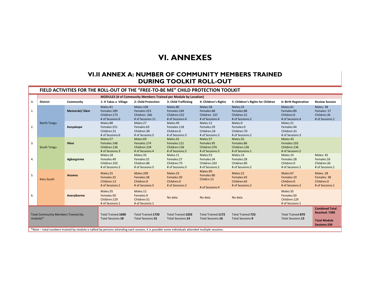# **VI. ANNEXES**

## **VI.II ANNEX A: NUMBER OF COMMUNITY MEMBERS TRAINED DURING TOOLKIT ROLL-OUT**

#### **FIELD ACTIVITIES FOR THE ROLL‐OUT OF THE "FREE‐TO‐BE ME" CHILD PROTECTION TOOLKIT**

|    | <b>MODULES (# of Community Members Trained per Module by Location)</b>                                                                            |                 |                                                             |                                                               |                                                             |                                                            |                                                           |                                                            |                                                                               |
|----|---------------------------------------------------------------------------------------------------------------------------------------------------|-----------------|-------------------------------------------------------------|---------------------------------------------------------------|-------------------------------------------------------------|------------------------------------------------------------|-----------------------------------------------------------|------------------------------------------------------------|-------------------------------------------------------------------------------|
| А. | <b>District</b>                                                                                                                                   | Community       | 1: It Takes a Village                                       | 2: Child Protection                                           | 3: Child Trafficking                                        | 4: Children's Rights                                       | 5: Children's Rights for Children                         | 6: Birth Registration                                      | <b>Review Session</b>                                                         |
| 1. |                                                                                                                                                   | Memordzi/ Sikor | Males:81<br>Females:189<br>Children: 173<br># of Sessions:6 | Males:104<br>Females:253<br>Children: 266<br># of Sessions:11 | Males:80<br>Females:169<br>Children: 152<br># of Sessions:4 | Males:38<br>Females:68<br>Children: 107<br># of Sessions:4 | Males:33<br>Females:88<br>Children:21<br># of Sessions:2  | Males:61<br>Females:89<br>Children:0<br># of Sessions:4    | Males: 38<br>Females: 57<br>Children:26<br># of Sessions:1                    |
| 2. | North Tongu                                                                                                                                       | Kanyakope       | Males:88<br>Females:251<br>Children:31<br># of Sessions:6   | Males:27<br>Females:63<br>Children:38<br># of Sessions:5      | Males:49<br>Females:118<br>Children:0<br># of Sessions:3    | Males:12<br>Females:29<br>Children:18<br># of Sessions:3   | Males:0<br>Females:0<br>Children:70<br># of Sessions:2    | Males:21<br>Females:44<br>Children:31<br># of Sessions:3   |                                                                               |
| 3. | South Tongu                                                                                                                                       | <b>Hlevi</b>    | Males:57<br>Females:148<br>Children: 136<br># of Sessions:3 | Males:69<br>Females:174<br>Children:234<br># of Sessions:4    | Males:42<br>Females:121<br>Children: 136<br># of Sessions:2 | Males:57<br>Females:95<br>Children:376<br># of Sessions:3  | Males:32<br>Females:86<br>Children:136<br># of Sessions:1 | Males:43<br>Females:103<br>Children:136<br># of Sessions:2 |                                                                               |
| 4. |                                                                                                                                                   | Agbargorme      | Males:18<br>Females:49<br>Children: 102<br># of Sessions:2  | Males:35<br>Females:52<br>Children:86<br># of Sessions:5      | Males:11<br>Females:27<br>Children: 75<br># of Sessions:3   | Males:53<br>Females:34<br>Children:102<br># of Sessions:2  | Males:14<br>Females:28<br>Children:85<br># of Sessions:2  | Males:14<br>Females:28<br>Children:0<br># of Sessions:1    | Males: 42<br>Females:16<br>Children:26<br># of Sessions:1                     |
| 5. | <b>Ketu South</b>                                                                                                                                 | Anoenu          | Males:25<br>Females:25<br>Children:13<br># of Sessions:1    | Males:209<br>Females:38<br>Children:0<br># of Sessions:5      | Males:23<br>Females:30<br>Children:0<br># of Sessions:2     | Males:90<br>Females:80<br>Childrn:13<br># of Sessions:4    | Males:22<br>Females:43<br>Children:65<br># of Sessions:2  | Males:67<br>Females:19<br>Children:0<br># of Sessions:2    | Males: 28<br>Females: 38<br>Children:0<br># of Sessions:1                     |
| 6. |                                                                                                                                                   | Averyiborme     | Males:35<br>Females:50<br>Children: 129<br># of Sessions:1  | Males:12<br>Females:9<br>Children:51<br># of Sessions:1       | No data                                                     | No data                                                    | No data                                                   | Males:35<br>Females:50<br>Children:129<br># of Sessions:1  |                                                                               |
|    | <b>Total Community Members Trained (by</b><br>module)*                                                                                            |                 | Total Trained: 1600<br>Total Sessions:18                    | Total Trained: 1720<br>Total Sessions:31                      | Total Trained: 1033<br>Total Sessions:14                    | Total Trained: 1172<br>Total Sessions:16                   | <b>Total Trained:723</b><br>Total Sessions:9              | Total Trained:870<br>Total Sessions:13                     | <b>Combined Total</b><br>Reached: 7389<br><b>Total Module</b><br>Sessions:104 |
|    | *Note – total numbers trained by module is tallied by persons attending each session, it is possible some individuals attended multiple sessions. |                 |                                                             |                                                               |                                                             |                                                            |                                                           |                                                            |                                                                               |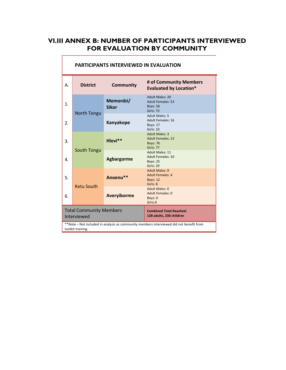# **VI.III ANNEX B: NUMBER OF PARTICIPANTS INTERVIEWED FOR EVALUATION BY COMMUNITY**

| А.                                                                                                          | <b>District</b>   | <b>Community</b>          | # of Community Members<br><b>Evaluated by Location*</b>                           |  |
|-------------------------------------------------------------------------------------------------------------|-------------------|---------------------------|-----------------------------------------------------------------------------------|--|
|                                                                                                             |                   | Memordzi/<br><b>Sikor</b> | Adult Males: 20<br><b>Adult Females: 53</b><br><b>Boys: 56</b><br>Girls: 73       |  |
|                                                                                                             | North Tongu       | Kanyakope                 | <b>Adult Males: 5</b><br>Adult Females: 16<br><b>Boys: 17</b><br>Girls: 10        |  |
| 3.                                                                                                          |                   | Hlevi**                   | <b>Adult Males: 3</b><br><b>Adult Females: 13</b><br><b>Boys: 76</b><br>Girls: 77 |  |
| 4.                                                                                                          | South Tongu       | <b>Agbargorme</b>         | Adult Males: 11<br><b>Adult Females: 10</b><br><b>Boys: 25</b><br>Girls: 29       |  |
| 5.                                                                                                          | <b>Ketu South</b> | Anoenu**                  | <b>Adult Males: 9</b><br><b>Adult Females: 4</b><br><b>Boys: 12</b><br>Girls: 8   |  |
| 6.                                                                                                          |                   | <b>Averyiborme</b>        | Adult Males: 0<br>Adult Females: 0<br>Boys: 0<br>Girls:0                          |  |
| <b>Total Community Members</b><br><b>Combined Total Reached:</b><br>128 adults, 230 children<br>Interviewed |                   |                           |                                                                                   |  |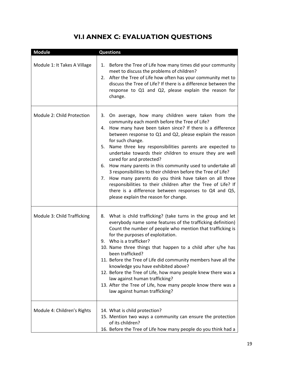# **VI.I ANNEX C: EVALUATION QUESTIONS**

| <b>Module</b>                | <b>Questions</b>                                                                                                                                                                                                                                                                                                                                                                                                                                                                                                                                                                                                                                                                                                                                                                   |
|------------------------------|------------------------------------------------------------------------------------------------------------------------------------------------------------------------------------------------------------------------------------------------------------------------------------------------------------------------------------------------------------------------------------------------------------------------------------------------------------------------------------------------------------------------------------------------------------------------------------------------------------------------------------------------------------------------------------------------------------------------------------------------------------------------------------|
| Module 1: It Takes A Village | Before the Tree of Life how many times did your community<br>1.<br>meet to discuss the problems of children?<br>2. After the Tree of Life how often has your community met to<br>discuss the Tree of Life? If there is a difference between the<br>response to Q1 and Q2, please explain the reason for<br>change.                                                                                                                                                                                                                                                                                                                                                                                                                                                                 |
| Module 2: Child Protection   | 3. On average, how many children were taken from the<br>community each month before the Tree of Life?<br>How many have been taken since? If there is a difference<br>4.<br>between response to Q1 and Q2, please explain the reason<br>for such change.<br>Name three key responsibilities parents are expected to<br>5.<br>undertake towards their children to ensure they are well<br>cared for and protected?<br>How many parents in this community used to undertake all<br>6.<br>3 responsibilities to their children before the Tree of Life?<br>7. How many parents do you think have taken on all three<br>responsibilities to their children after the Tree of Life? If<br>there is a difference between responses to Q4 and Q5,<br>please explain the reason for change. |
| Module 3: Child Trafficking  | What is child trafficking? (take turns in the group and let<br>8.<br>everybody name some features of the trafficking definition)<br>Count the number of people who mention that trafficking is<br>for the purposes of exploitation.<br>9. Who is a trafficker?<br>10. Name three things that happen to a child after s/he has<br>been trafficked?<br>11. Before the Tree of Life did community members have all the<br>knowledge you have exhibited above?<br>12. Before the Tree of Life, how many people knew there was a<br>law against human trafficking?<br>13. After the Tree of Life, how many people know there was a<br>law against human trafficking?                                                                                                                    |
| Module 4: Children's Rights  | 14. What is child protection?<br>15. Mention two ways a community can ensure the protection<br>of its children?<br>16. Before the Tree of Life how many people do you think had a                                                                                                                                                                                                                                                                                                                                                                                                                                                                                                                                                                                                  |